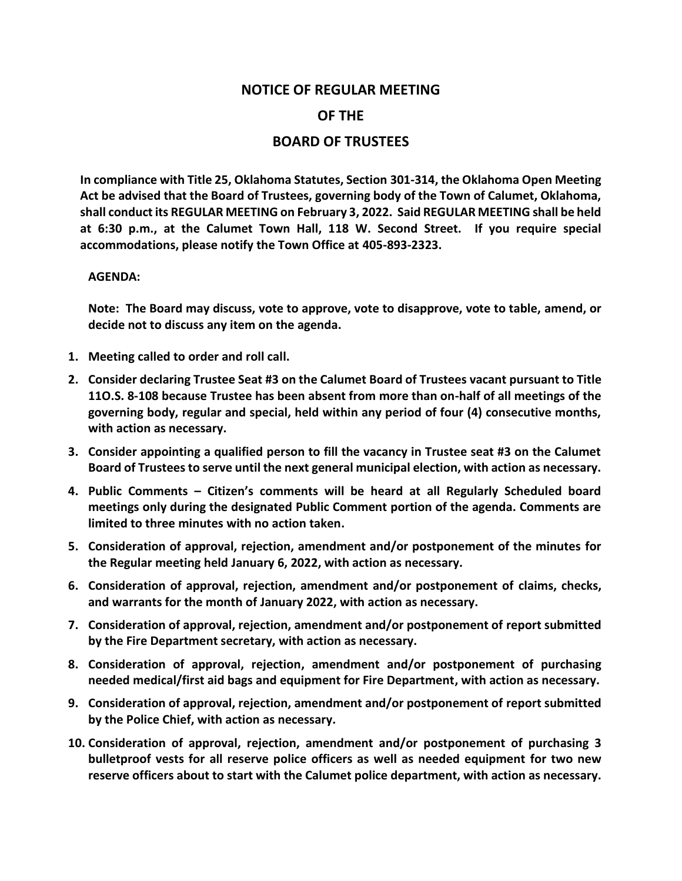## **NOTICE OF REGULAR MEETING OF THE BOARD OF TRUSTEES**

**In compliance with Title 25, Oklahoma Statutes, Section 301-314, the Oklahoma Open Meeting Act be advised that the Board of Trustees, governing body of the Town of Calumet, Oklahoma, shall conduct its REGULAR MEETING on February 3, 2022. Said REGULAR MEETING shall be held at 6:30 p.m., at the Calumet Town Hall, 118 W. Second Street. If you require special accommodations, please notify the Town Office at 405-893-2323.**

## **AGENDA:**

**Note: The Board may discuss, vote to approve, vote to disapprove, vote to table, amend, or decide not to discuss any item on the agenda.**

- **1. Meeting called to order and roll call.**
- **2. Consider declaring Trustee Seat #3 on the Calumet Board of Trustees vacant pursuant to Title 11O.S. 8-108 because Trustee has been absent from more than on-half of all meetings of the governing body, regular and special, held within any period of four (4) consecutive months, with action as necessary.**
- **3. Consider appointing a qualified person to fill the vacancy in Trustee seat #3 on the Calumet Board of Trustees to serve until the next general municipal election, with action as necessary.**
- **4. Public Comments – Citizen's comments will be heard at all Regularly Scheduled board meetings only during the designated Public Comment portion of the agenda. Comments are limited to three minutes with no action taken.**
- **5. Consideration of approval, rejection, amendment and/or postponement of the minutes for the Regular meeting held January 6, 2022, with action as necessary.**
- **6. Consideration of approval, rejection, amendment and/or postponement of claims, checks, and warrants for the month of January 2022, with action as necessary.**
- **7. Consideration of approval, rejection, amendment and/or postponement of report submitted by the Fire Department secretary, with action as necessary.**
- **8. Consideration of approval, rejection, amendment and/or postponement of purchasing needed medical/first aid bags and equipment for Fire Department, with action as necessary.**
- **9. Consideration of approval, rejection, amendment and/or postponement of report submitted by the Police Chief, with action as necessary.**
- **10. Consideration of approval, rejection, amendment and/or postponement of purchasing 3 bulletproof vests for all reserve police officers as well as needed equipment for two new reserve officers about to start with the Calumet police department, with action as necessary.**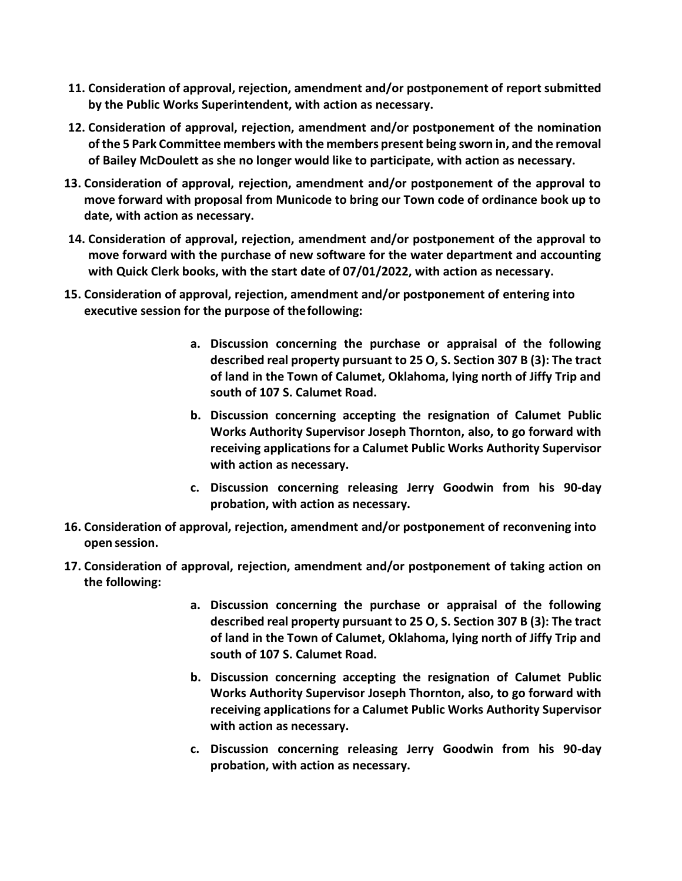- **11. Consideration of approval, rejection, amendment and/or postponement of report submitted by the Public Works Superintendent, with action as necessary.**
- **12. Consideration of approval, rejection, amendment and/or postponement of the nomination of the 5 Park Committee members with the members present being sworn in, and the removal of Bailey McDoulett as she no longer would like to participate, with action as necessary.**
- **13. Consideration of approval, rejection, amendment and/or postponement of the approval to move forward with proposal from Municode to bring our Town code of ordinance book up to date, with action as necessary.**
- **14. Consideration of approval, rejection, amendment and/or postponement of the approval to move forward with the purchase of new software for the water department and accounting with Quick Clerk books, with the start date of 07/01/2022, with action as necessary.**
- **15. Consideration of approval, rejection, amendment and/or postponement of entering into executive session for the purpose of thefollowing:**
	- **a. Discussion concerning the purchase or appraisal of the following described real property pursuant to 25 O, S. Section 307 B (3): The tract of land in the Town of Calumet, Oklahoma, lying north of Jiffy Trip and south of 107 S. Calumet Road.**
	- **b. Discussion concerning accepting the resignation of Calumet Public Works Authority Supervisor Joseph Thornton, also, to go forward with receiving applications for a Calumet Public Works Authority Supervisor with action as necessary.**
	- **c. Discussion concerning releasing Jerry Goodwin from his 90-day probation, with action as necessary.**
- **16. Consideration of approval, rejection, amendment and/or postponement of reconvening into open session.**
- **17. Consideration of approval, rejection, amendment and/or postponement of taking action on the following:**
	- **a. Discussion concerning the purchase or appraisal of the following described real property pursuant to 25 O, S. Section 307 B (3): The tract of land in the Town of Calumet, Oklahoma, lying north of Jiffy Trip and south of 107 S. Calumet Road.**
	- **b. Discussion concerning accepting the resignation of Calumet Public Works Authority Supervisor Joseph Thornton, also, to go forward with receiving applications for a Calumet Public Works Authority Supervisor with action as necessary.**
	- **c. Discussion concerning releasing Jerry Goodwin from his 90-day probation, with action as necessary.**